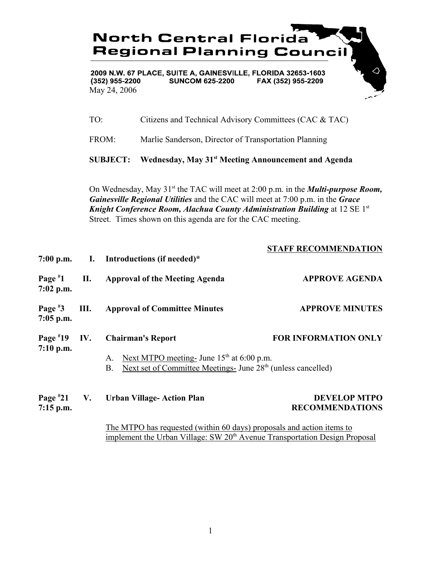

2009 N.W. 67 PLACE, SUITE A, GAINESVILLE, FLORIDA 32653-1603  $(352)$  955-2200 **SUNCOM 625-2200** FAX (352) 955-2209 May 24, 2006

TO: Citizens and Technical Advisory Committees (CAC & TAC)

FROM: Marlie Sanderson, Director of Transportation Planning

**SUBJECT: Wednesday, May 31st Meeting Announcement and Agenda**

On Wednesday, May 31<sup>st</sup> the TAC will meet at 2:00 p.m. in the *Multi-purpose Room*, *Gainesville Regional Utilities* and the CAC will meet at 7:00 p.m. in the *Grace Knight Conference Room, Alachua County Administration Building* at 12 SE 1st Street. Times shown on this agenda are for the CAC meeting.

|                              |      |                                                                                                                                            | <b>STAFF RECOMMENDATION</b>                   |
|------------------------------|------|--------------------------------------------------------------------------------------------------------------------------------------------|-----------------------------------------------|
|                              |      | 7:00 p.m. I. Introductions (if needed)*                                                                                                    |                                               |
| Page $*1$<br>$7:02$ p.m.     | П.   | <b>Approval of the Meeting Agenda</b>                                                                                                      | <b>APPROVE AGENDA</b>                         |
| Page $*3$<br>$7:05$ p.m.     | III. | <b>Approval of Committee Minutes</b>                                                                                                       | <b>APPROVE MINUTES</b>                        |
| Page $*19$<br>$7:10$ p.m.    | IV.  | <b>Chairman's Report</b>                                                                                                                   | <b>FOR INFORMATION ONLY</b>                   |
|                              |      | Next MTPO meeting- June $15th$ at 6:00 p.m.<br>A.<br>Next set of Committee Meetings- June 28 <sup>th</sup> (unless cancelled)<br><b>B.</b> |                                               |
| Page $*21$ V.<br>$7:15$ p.m. |      | <b>Urban Village-Action Plan</b>                                                                                                           | <b>DEVELOP MTPO</b><br><b>RECOMMENDATIONS</b> |
|                              |      | The MTPO has requested (within 60 days) proposals and action items to                                                                      |                                               |

implement the Urban Village: SW 20<sup>th</sup> Avenue Transportation Design Proposal